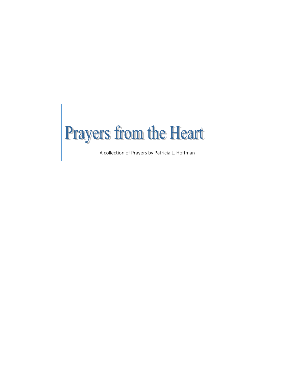

A collection of Prayers by Patricia L. Hoffman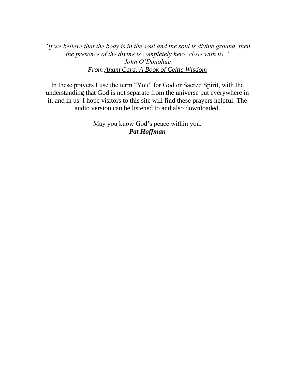*"If we believe that the body is in the soul and the soul is divine ground, then the presence of the divine is completely here, close with us." John O'Donohue From Anam Cara, A Book of Celtic Wisdom*

In these prayers I use the term "You" for God or Sacred Spirit, with the understanding that God is not separate from the universe but everywhere in it, and in us. I hope visitors to this site will find these prayers helpful. The audio version can be listened to and also downloaded.

> May you know God's peace within you. *Pat Hoffman*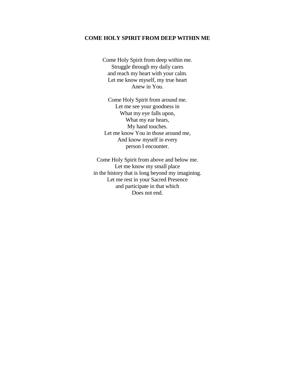#### **COME HOLY SPIRIT FROM DEEP WITHIN ME**

Come Holy Spirit from deep within me. Struggle through my daily cares and reach my heart with your calm. Let me know myself, my true heart Anew in You.

Come Holy Spirit from around me. Let me see your goodness in What my eye falls upon, What my ear hears, My hand touches. Let me know You in those around me, And know myself in every person I encounter.

Come Holy Spirit from above and below me. Let me know my small place in the history that is long beyond my imagining. Let me rest in your Sacred Presence and participate in that which Does not end.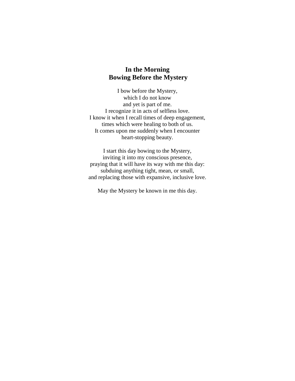### **In the Morning Bowing Before the Mystery**

I bow before the Mystery, which I do not know and yet is part of me. I recognize it in acts of selfless love. I know it when I recall times of deep engagement, times which were healing to both of us. It comes upon me suddenly when I encounter heart-stopping beauty.

I start this day bowing to the Mystery, inviting it into my conscious presence, praying that it will have its way with me this day: subduing anything tight, mean, or small, and replacing those with expansive, inclusive love.

May the Mystery be known in me this day.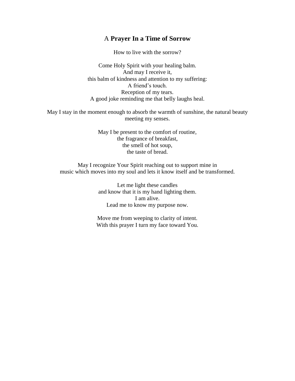#### A **Prayer In a Time of Sorrow**

How to live with the sorrow?

Come Holy Spirit with your healing balm. And may I receive it, this balm of kindness and attention to my suffering: A friend's touch. Reception of my tears. A good joke reminding me that belly laughs heal.

May I stay in the moment enough to absorb the warmth of sunshine, the natural beauty meeting my senses.

> May I be present to the comfort of routine, the fragrance of breakfast, the smell of hot soup, the taste of bread.

May I recognize Your Spirit reaching out to support mine in music which moves into my soul and lets it know itself and be transformed.

> Let me light these candles and know that it is my hand lighting them. I am alive. Lead me to know my purpose now.

Move me from weeping to clarity of intent. With this prayer I turn my face toward You.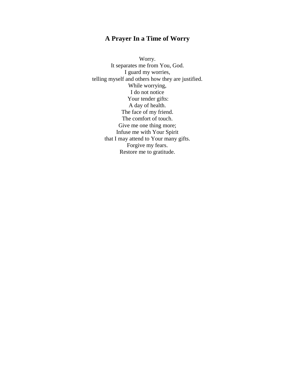## **A Prayer In a Time of Worry**

Worry. It separates me from You, God. I guard my worries, telling myself and others how they are justified. While worrying, I do not notice Your tender gifts: A day of health. The face of my friend. The comfort of touch. Give me one thing more; Infuse me with Your Spirit that I may attend to Your many gifts. Forgive my fears. Restore me to gratitude.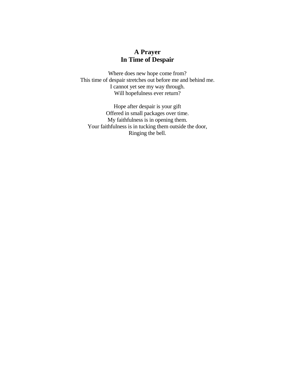## **A Prayer In Time of Despair**

Where does new hope come from? This time of despair stretches out before me and behind me. I cannot yet see my way through. Will hopefulness ever return?

Hope after despair is your gift Offered in small packages over time. My faithfulness is in opening them. Your faithfulness is in tucking them outside the door, Ringing the bell.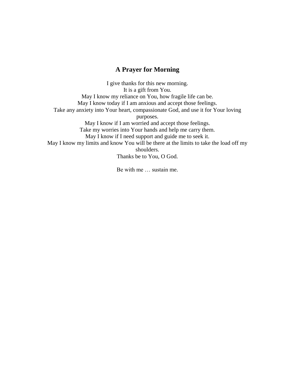### **A Prayer for Morning**

I give thanks for this new morning. It is a gift from You. May I know my reliance on You, how fragile life can be. May I know today if I am anxious and accept those feelings. Take any anxiety into Your heart, compassionate God, and use it for Your loving purposes. May I know if I am worried and accept those feelings. Take my worries into Your hands and help me carry them. May I know if I need support and guide me to seek it. May I know my limits and know You will be there at the limits to take the load off my shoulders. Thanks be to You, O God.

Be with me … sustain me.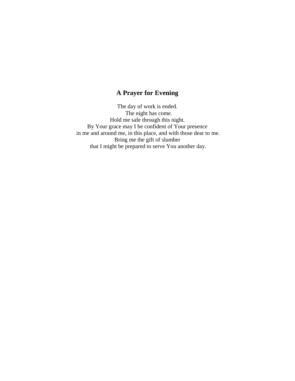## **A Prayer for Evening**

The day of work is ended. The night has come. Hold me safe through this night. By Your grace may I be confident of Your presence in me and around me, in this place, and with those dear to me. Bring me the gift of slumber that I might be prepared to serve You another day.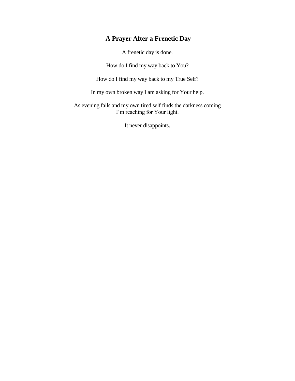# **A Prayer After a Frenetic Day**

A frenetic day is done.

How do I find my way back to You?

How do I find my way back to my True Self?

In my own broken way I am asking for Your help.

As evening falls and my own tired self finds the darkness coming I'm reaching for Your light.

It never disappoints.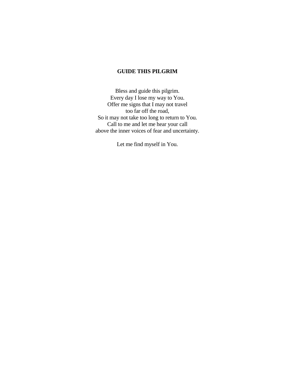#### **GUIDE THIS PILGRIM**

Bless and guide this pilgrim. Every day I lose my way to You. Offer me signs that I may not travel too far off the road, So it may not take too long to return to You. Call to me and let me hear your call above the inner voices of fear and uncertainty.

Let me find myself in You.